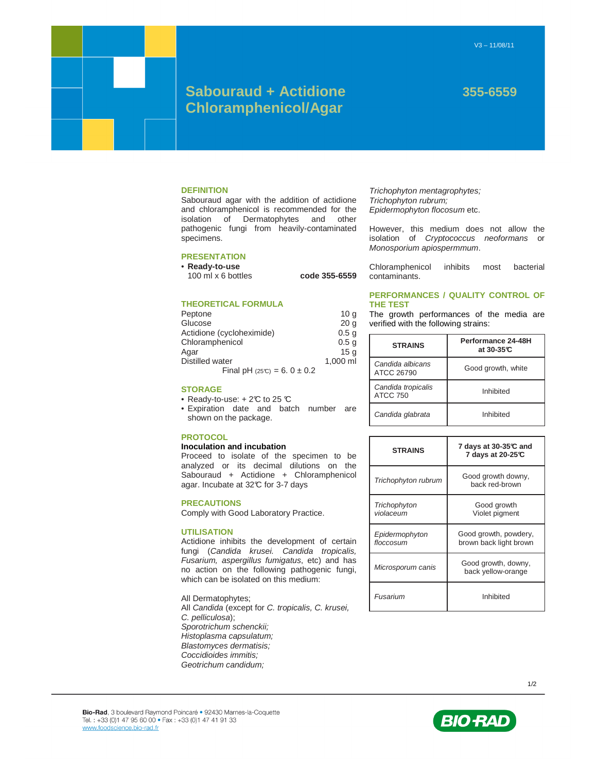# **Sabouraud + Actidione 355-6559 Chloramphenicol/Agar**

#### **DEFINITION**

Sabouraud agar with the addition of actidione and chloramphenicol is recommended for the isolation of Dermatophytes and other pathogenic fungi from heavily-contaminated specimens.

# **PRESENTATION**

• **Ready-to-use** 

100 ml x 6 bottles **code 355-6559** 

# **THEORETICAL FORMULA**

| Peptone                        | 10 <sub>q</sub>  |
|--------------------------------|------------------|
| Glucose                        | 20 <sub>q</sub>  |
| Actidione (cycloheximide)      | 0.5 <sub>q</sub> |
| Chloramphenicol                | 0.5 <sub>q</sub> |
| Aqar                           | 15a              |
| Distilled water                | 1.000 ml         |
| Final pH $(25C) = 6.0 \pm 0.2$ |                  |

### **STORAGE**

• Ready-to-use:  $+2\mathcal{C}$  to 25  $\mathcal{C}$ 

• Expiration date and batch number are shown on the package.

## **PROTOCOL**

#### **Inoculation and incubation**

Proceed to isolate of the specimen to be analyzed or its decimal dilutions on the Sabouraud + Actidione + Chloramphenicol agar. Incubate at 32°C for 3-7 days

#### **PRECAUTIONS**

Comply with Good Laboratory Practice.

#### **UTILISATION**

Actidione inhibits the development of certain fungi (Candida krusei. Candida tropicalis, Fusarium, aspergillus fumigatus, etc) and has no action on the following pathogenic fungi, which can be isolated on this medium:

All Dermatophytes; All Candida (except for C. tropicalis, C. krusei, C. pelliculosa); Sporotrichum schenckii; Histoplasma capsulatum; Blastomyces dermatisis; Coccidioides immitis; Geotrichum candidum;

Trichophyton mentagrophytes; Trichophyton rubrum; Epidermophyton flocosum etc.

However, this medium does not allow the isolation of Cryptococcus neoformans or Monosporium apiospermmum.

Chloramphenicol inhibits most bacterial contaminants.

# **PERFORMANCES / QUALITY CONTROL OF THE TEST**

The growth performances of the media are verified with the following strains:

| <b>STRAINS</b>                        | Performance 24-48H<br>at 30-35℃ |
|---------------------------------------|---------------------------------|
| Candida albicans<br>ATCC 26790        | Good growth, white              |
| Candida tropicalis<br><b>ATCC 750</b> | Inhibited                       |
| Candida glabrata                      | Inhibited                       |

| <b>STRAINS</b>              | 7 days at 30-35℃ and<br>7 days at 20-25°C       |
|-----------------------------|-------------------------------------------------|
| Trichophyton rubrum         | Good growth downy,<br>back red-brown            |
| Trichophyton<br>violaceum   | Good growth<br>Violet pigment                   |
| Epidermophyton<br>floccosum | Good growth, powdery,<br>brown back light brown |
| Microsporum canis           | Good growth, downy,<br>back yellow-orange       |
| Fusarium                    | Inhibited                                       |